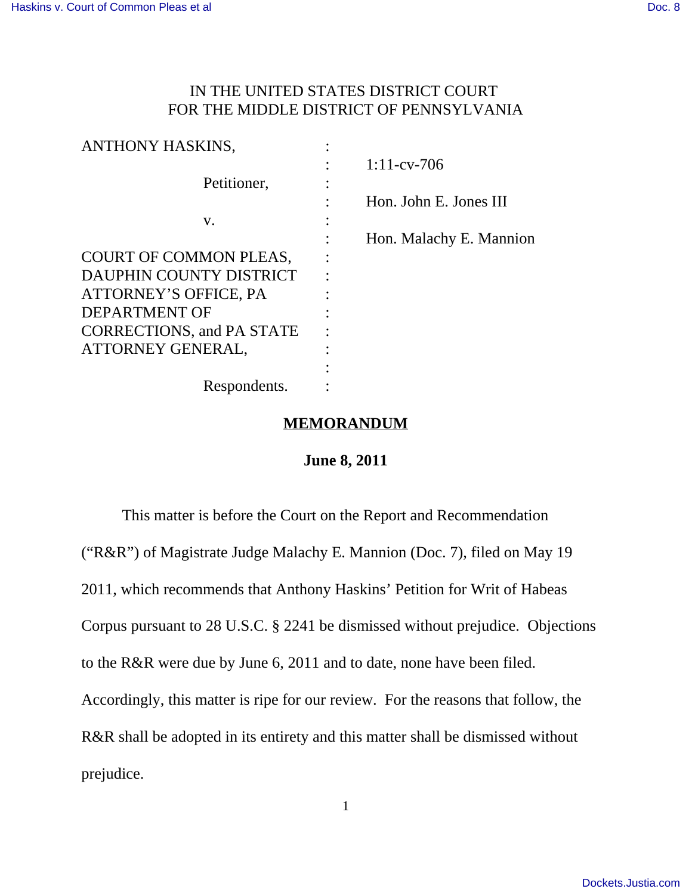# IN THE UNITED STATES DISTRICT COURT FOR THE MIDDLE DISTRICT OF PENNSYLVANIA

| <b>ANTHONY HASKINS,</b>          |                         |
|----------------------------------|-------------------------|
|                                  | $1:11$ -cv-706          |
| Petitioner,                      |                         |
|                                  | Hon. John E. Jones III  |
| V.                               |                         |
|                                  | Hon. Malachy E. Mannion |
| COURT OF COMMON PLEAS,           |                         |
| <b>DAUPHIN COUNTY DISTRICT</b>   |                         |
| ATTORNEY'S OFFICE, PA            |                         |
| <b>DEPARTMENT OF</b>             |                         |
| <b>CORRECTIONS, and PA STATE</b> |                         |
| ATTORNEY GENERAL,                |                         |
|                                  |                         |
| Respondents.                     |                         |

## **MEMORANDUM**

## **June 8, 2011**

This matter is before the Court on the Report and Recommendation ("R&R") of Magistrate Judge Malachy E. Mannion (Doc. 7), filed on May 19 2011, which recommends that Anthony Haskins' Petition for Writ of Habeas Corpus pursuant to 28 U.S.C. § 2241 be dismissed without prejudice. Objections to the R&R were due by June 6, 2011 and to date, none have been filed. Accordingly, this matter is ripe for our review. For the reasons that follow, the R&R shall be adopted in its entirety and this matter shall be dismissed without prejudice.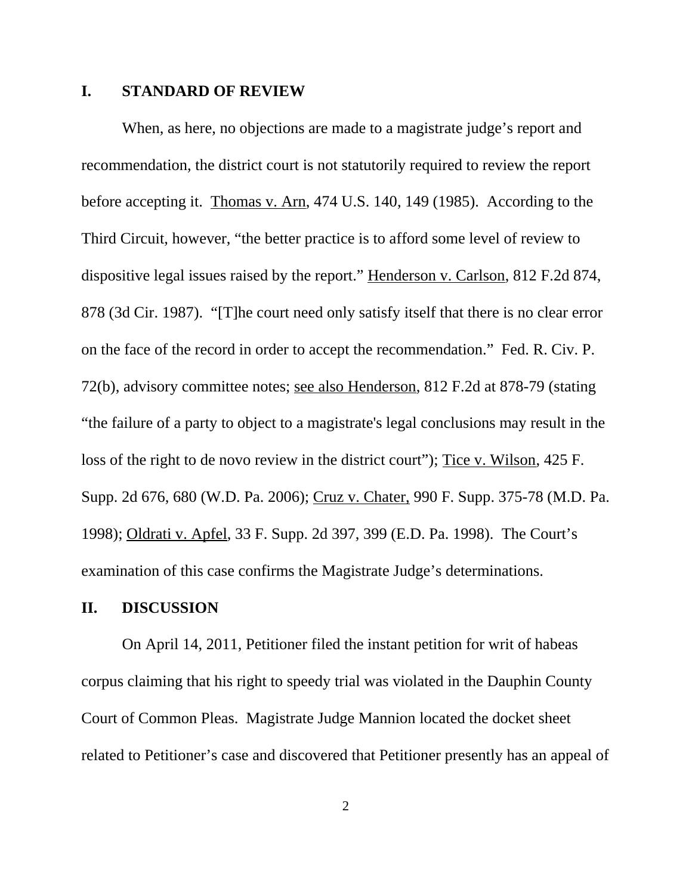### **I. STANDARD OF REVIEW**

When, as here, no objections are made to a magistrate judge's report and recommendation, the district court is not statutorily required to review the report before accepting it. Thomas v. Arn, 474 U.S. 140, 149 (1985). According to the Third Circuit, however, "the better practice is to afford some level of review to dispositive legal issues raised by the report." Henderson v. Carlson, 812 F.2d 874, 878 (3d Cir. 1987). "[T]he court need only satisfy itself that there is no clear error on the face of the record in order to accept the recommendation." Fed. R. Civ. P. 72(b), advisory committee notes; see also Henderson, 812 F.2d at 878-79 (stating "the failure of a party to object to a magistrate's legal conclusions may result in the loss of the right to de novo review in the district court"); Tice v. Wilson, 425 F. Supp. 2d 676, 680 (W.D. Pa. 2006); Cruz v. Chater, 990 F. Supp. 375-78 (M.D. Pa. 1998); Oldrati v. Apfel, 33 F. Supp. 2d 397, 399 (E.D. Pa. 1998). The Court's examination of this case confirms the Magistrate Judge's determinations.

### **II. DISCUSSION**

On April 14, 2011, Petitioner filed the instant petition for writ of habeas corpus claiming that his right to speedy trial was violated in the Dauphin County Court of Common Pleas. Magistrate Judge Mannion located the docket sheet related to Petitioner's case and discovered that Petitioner presently has an appeal of